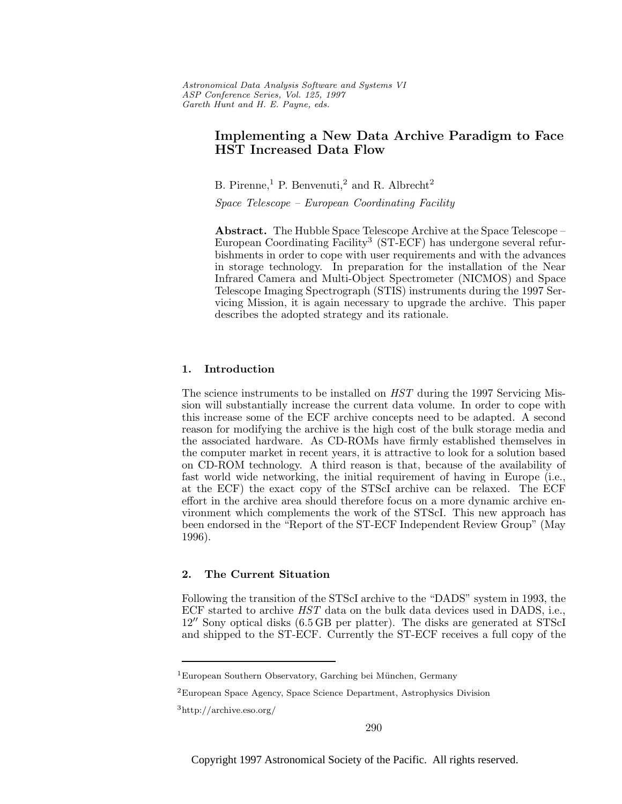# **Implementing a New Data Archive Paradigm to Face HST Increased Data Flow**

B. Pirenne,<sup>1</sup> P. Benvenuti,<sup>2</sup> and R. Albrecht<sup>2</sup>

Space Telescope – European Coordinating Facility

**Abstract.** The Hubble Space Telescope Archive at the Space Telescope – European Coordinating Facility<sup>3</sup> (ST-ECF) has undergone several refurbishments in order to cope with user requirements and with the advances in storage technology. In preparation for the installation of the Near Infrared Camera and Multi-Object Spectrometer (NICMOS) and Space Telescope Imaging Spectrograph (STIS) instruments during the 1997 Servicing Mission, it is again necessary to upgrade the archive. This paper describes the adopted strategy and its rationale.

# **1. Introduction**

The science instruments to be installed on HST during the 1997 Servicing Mission will substantially increase the current data volume. In order to cope with this increase some of the ECF archive concepts need to be adapted. A second reason for modifying the archive is the high cost of the bulk storage media and the associated hardware. As CD-ROMs have firmly established themselves in the computer market in recent years, it is attractive to look for a solution based on CD-ROM technology. A third reason is that, because of the availability of fast world wide networking, the initial requirement of having in Europe (i.e., at the ECF) the exact copy of the STScI archive can be relaxed. The ECF effort in the archive area should therefore focus on a more dynamic archive environment which complements the work of the STScI. This new approach has been endorsed in the "Report of the ST-ECF Independent Review Group" (May 1996).

# **2. The Current Situation**

Following the transition of the STScI archive to the "DADS" system in 1993, the ECF started to archive HST data on the bulk data devices used in DADS, i.e.,  $12^{\prime\prime}$  Sony optical disks  $(6.5 \text{ GB per platter})$ . The disks are generated at STScI and shipped to the ST-ECF. Currently the ST-ECF receives a full copy of the

Copyright 1997 Astronomical Society of the Pacific. All rights reserved.

<sup>&</sup>lt;sup>1</sup>European Southern Observatory, Garching bei München, Germany

<sup>2</sup>European Space Agency, Space Science Department, Astrophysics Division

<sup>3</sup>http://archive.eso.org/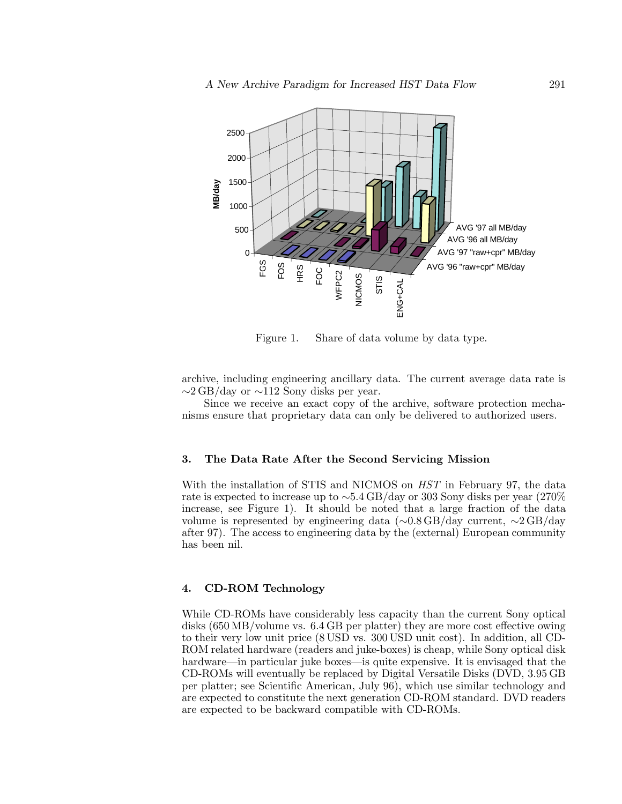

Figure 1. Share of data volume by data type.

archive, including engineering ancillary data. The current average data rate is  $\sim$ 2 GB/day or  $\sim$ 112 Sony disks per year.

Since we receive an exact copy of the archive, software protection mechanisms ensure that proprietary data can only be delivered to authorized users.

# **3. The Data Rate After the Second Servicing Mission**

With the installation of STIS and NICMOS on HST in February 97, the data rate is expected to increase up to ∼5.4 GB/day or 303 Sony disks per year (270% increase, see Figure 1). It should be noted that a large fraction of the data volume is represented by engineering data (∼0.8 GB/day current, ∼2 GB/day after 97). The access to engineering data by the (external) European community has been nil.

## **4. CD-ROM Technology**

While CD-ROMs have considerably less capacity than the current Sony optical disks (650 MB/volume vs. 6.4 GB per platter) they are more cost effective owing to their very low unit price (8 USD vs. 300 USD unit cost). In addition, all CD-ROM related hardware (readers and juke-boxes) is cheap, while Sony optical disk hardware—in particular juke boxes—is quite expensive. It is envisaged that the CD-ROMs will eventually be replaced by Digital Versatile Disks (DVD, 3.95 GB per platter; see Scientific American, July 96), which use similar technology and are expected to constitute the next generation CD-ROM standard. DVD readers are expected to be backward compatible with CD-ROMs.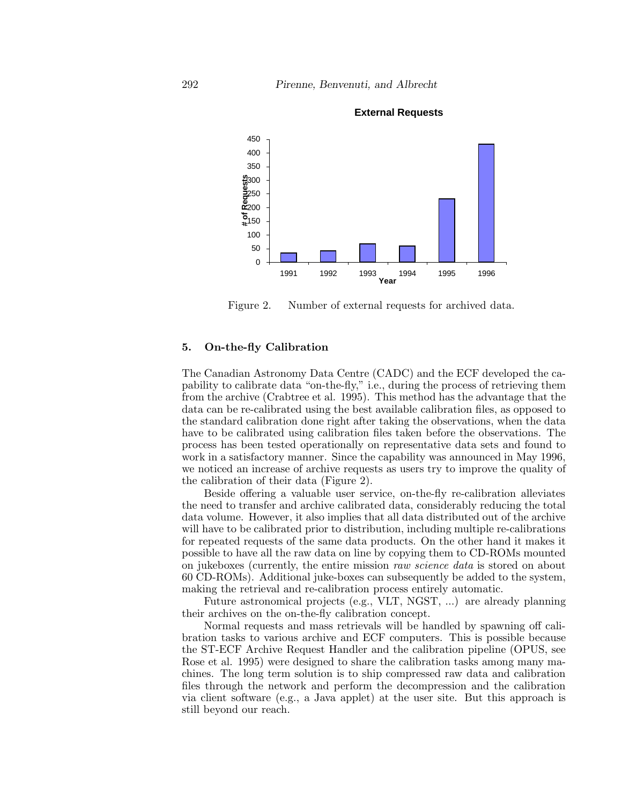

**External Requests**

Figure 2. Number of external requests for archived data.

#### **5. On-the-fly Calibration**

The Canadian Astronomy Data Centre (CADC) and the ECF developed the capability to calibrate data "on-the-fly," i.e., during the process of retrieving them from the archive (Crabtree et al. 1995). This method has the advantage that the data can be re-calibrated using the best available calibration files, as opposed to the standard calibration done right after taking the observations, when the data have to be calibrated using calibration files taken before the observations. The process has been tested operationally on representative data sets and found to work in a satisfactory manner. Since the capability was announced in May 1996, we noticed an increase of archive requests as users try to improve the quality of the calibration of their data (Figure 2).

Beside offering a valuable user service, on-the-fly re-calibration alleviates the need to transfer and archive calibrated data, considerably reducing the total data volume. However, it also implies that all data distributed out of the archive will have to be calibrated prior to distribution, including multiple re-calibrations for repeated requests of the same data products. On the other hand it makes it possible to have all the raw data on line by copying them to CD-ROMs mounted on jukeboxes (currently, the entire mission raw science data is stored on about 60 CD-ROMs). Additional juke-boxes can subsequently be added to the system, making the retrieval and re-calibration process entirely automatic.

Future astronomical projects (e.g., VLT, NGST, ...) are already planning their archives on the on-the-fly calibration concept.

Normal requests and mass retrievals will be handled by spawning off calibration tasks to various archive and ECF computers. This is possible because the ST-ECF Archive Request Handler and the calibration pipeline (OPUS, see Rose et al. 1995) were designed to share the calibration tasks among many machines. The long term solution is to ship compressed raw data and calibration files through the network and perform the decompression and the calibration via client software (e.g., a Java applet) at the user site. But this approach is still beyond our reach.